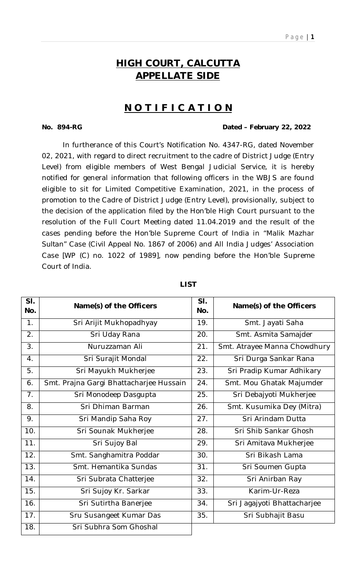# **HIGH COURT, CALCUTTA APPELLATE SIDE**

# **N O T I F I C A T I O N**

### **No. 894-RG Dated – February 22, 2022**

In furtherance of this Court's Notification No. 4347-RG, dated November 02, 2021, with regard to direct recruitment to the cadre of District Judge (Entry Level) from eligible members of West Bengal Judicial Service, it is hereby notified for general information that following officers in the WBJS are found eligible to sit for Limited Competitive Examination, 2021, in the process of promotion to the Cadre of District Judge (Entry Level), provisionally, subject to the decision of the application filed by the Hon'ble High Court pursuant to the resolution of the Full Court Meeting dated 11.04.2019 and the result of the cases pending before the Hon'ble Supreme Court of India in *"Malik Mazhar Sultan"* Case (Civil Appeal No. 1867 of 2006) and All India Judges' Association Case [WP (C) no. 1022 of 1989], now pending before the Hon'ble Supreme Court of India.

| SI.<br>No.     | Name(s) of the Officers                 | SI.<br>No. | Name(s) of the Officers      |
|----------------|-----------------------------------------|------------|------------------------------|
| 1.             | Sri Arijit Mukhopadhyay                 | 19.        | Smt. Jayati Saha             |
| 2.             | Sri Uday Rana                           | 20.        | Smt. Asmita Samajder         |
| 3.             | Nuruzzaman Ali                          | 21.        | Smt. Atrayee Manna Chowdhury |
| 4.             | Sri Surajit Mondal                      | 22.        | Sri Durga Sankar Rana        |
| 5.             | Sri Mayukh Mukherjee                    | 23.        | Sri Pradip Kumar Adhikary    |
| 6.             | Smt. Prajna Gargi Bhattacharjee Hussain | 24.        | Smt. Mou Ghatak Majumder     |
| 7 <sub>1</sub> | Sri Monodeep Dasgupta                   | 25.        | Sri Debajyoti Mukherjee      |
| 8.             | Sri Dhiman Barman                       | 26.        | Smt. Kusumika Dey (Mitra)    |
| 9.             | Sri Mandip Saha Roy                     | 27.        | Sri Arindam Dutta            |
| 10.            | Sri Sounak Mukherjee                    | 28.        | Sri Shib Sankar Ghosh        |
| 11.            | Sri Sujoy Bal                           | 29.        | Sri Amitava Mukherjee        |
| 12.            | Smt. Sanghamitra Poddar                 | 30.        | Sri Bikash Lama              |
| 13.            | Smt. Hemantika Sundas                   | 31.        | Sri Soumen Gupta             |
| 14.            | Sri Subrata Chatterjee                  | 32.        | Sri Anirban Ray              |
| 15.            | Sri Sujoy Kr. Sarkar                    | 33.        | Karim-Ur-Reza                |
| 16.            | Sri Sutirtha Banerjee                   | 34.        | Sri Jagajyoti Bhattacharjee  |
| 17.            | Sru Susangeet Kumar Das                 | 35.        | Sri Subhajit Basu            |
| 18.            | Sri Subhra Som Ghoshal                  |            |                              |

#### **LIST**